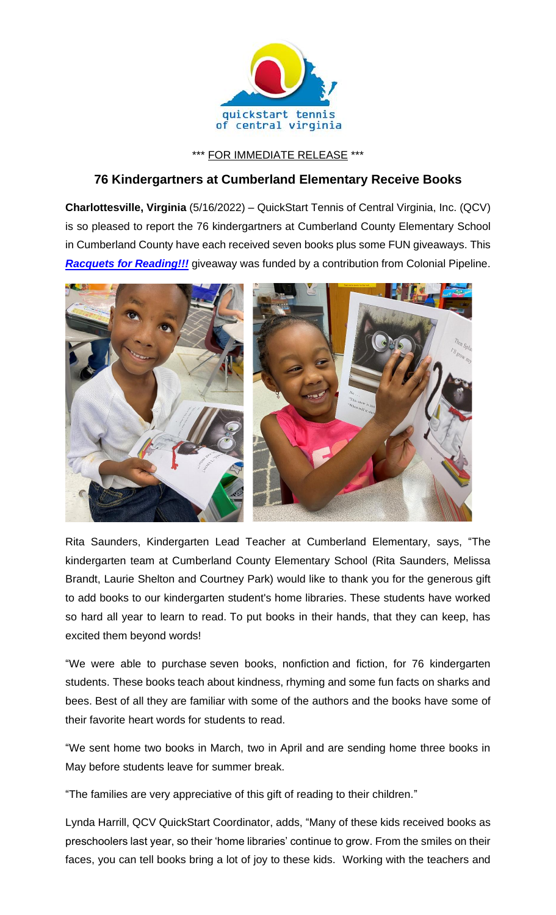

\*\*\* FOR IMMEDIATE RELEASE \*\*\*

## **76 Kindergartners at Cumberland Elementary Receive Books**

**Charlottesville, Virginia** (5/16/2022) – QuickStart Tennis of Central Virginia, Inc. (QCV) is so pleased to report the 76 kindergartners at Cumberland County Elementary School in Cumberland County have each received seven books plus some FUN giveaways. This **[Racquets for Reading!!!](https://www.quickstartcentral.org/pages/index.cfm?siteid=23306)** giveaway was funded by a contribution from Colonial Pipeline.



Rita Saunders, Kindergarten Lead Teacher at Cumberland Elementary, says, "The kindergarten team at Cumberland County Elementary School (Rita Saunders, Melissa Brandt, Laurie Shelton and Courtney Park) would like to thank you for the generous gift to add books to our kindergarten student's home libraries. These students have worked so hard all year to learn to read. To put books in their hands, that they can keep, has excited them beyond words!

"We were able to purchase seven books, nonfiction and fiction, for 76 kindergarten students. These books teach about kindness, rhyming and some fun facts on sharks and bees. Best of all they are familiar with some of the authors and the books have some of their favorite heart words for students to read.

"We sent home two books in March, two in April and are sending home three books in May before students leave for summer break.

"The families are very appreciative of this gift of reading to their children."

Lynda Harrill, QCV QuickStart Coordinator, adds, "Many of these kids received books as preschoolers last year, so their 'home libraries' continue to grow. From the smiles on their faces, you can tell books bring a lot of joy to these kids. Working with the teachers and